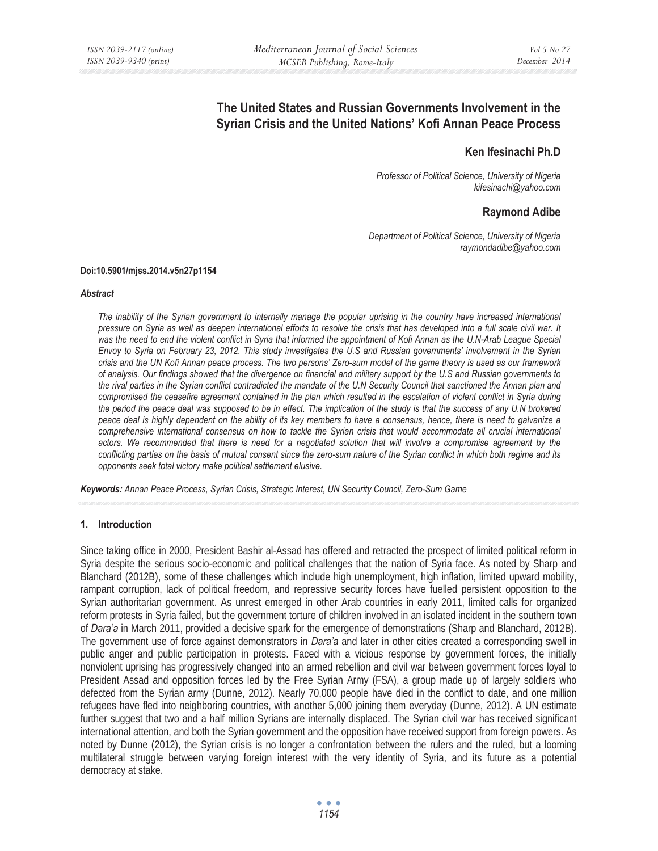# **The United States and Russian Governments Involvement in the Syrian Crisis and the United Nations' Kofi Annan Peace Process**

## **Ken Ifesinachi Ph.D**

*Professor of Political Science, University of Nigeria kifesinachi@yahoo.com* 

# **Raymond Adibe**

*Department of Political Science, University of Nigeria raymondadibe@yahoo.com* 

#### **Doi:10.5901/mjss.2014.v5n27p1154**

#### *Abstract*

*The inability of the Syrian government to internally manage the popular uprising in the country have increased international pressure on Syria as well as deepen international efforts to resolve the crisis that has developed into a full scale civil war. It*  was the need to end the violent conflict in Syria that informed the appointment of Kofi Annan as the U.N-Arab League Special *Envoy to Syria on February 23, 2012. This study investigates the U.S and Russian governments' involvement in the Syrian crisis and the UN Kofi Annan peace process. The two persons' Zero-sum model of the game theory is used as our framework of analysis. Our findings showed that the divergence on financial and military support by the U.S and Russian governments to the rival parties in the Syrian conflict contradicted the mandate of the U.N Security Council that sanctioned the Annan plan and compromised the ceasefire agreement contained in the plan which resulted in the escalation of violent conflict in Syria during the period the peace deal was supposed to be in effect. The implication of the study is that the success of any U.N brokered peace deal is highly dependent on the ability of its key members to have a consensus, hence, there is need to galvanize a*  comprehensive international consensus on how to tackle the Syrian crisis that would accommodate all crucial international actors. We recommended that there is need for a negotiated solution that will involve a compromise agreement by the *conflicting parties on the basis of mutual consent since the zero-sum nature of the Syrian conflict in which both regime and its opponents seek total victory make political settlement elusive.* 

*Keywords: Annan Peace Process, Syrian Crisis, Strategic Interest, UN Security Council, Zero-Sum Game* 

## **1. Introduction**

Since taking office in 2000, President Bashir al-Assad has offered and retracted the prospect of limited political reform in Syria despite the serious socio-economic and political challenges that the nation of Syria face. As noted by Sharp and Blanchard (2012B), some of these challenges which include high unemployment, high inflation, limited upward mobility, rampant corruption, lack of political freedom, and repressive security forces have fuelled persistent opposition to the Syrian authoritarian government. As unrest emerged in other Arab countries in early 2011, limited calls for organized reform protests in Syria failed, but the government torture of children involved in an isolated incident in the southern town of *Dara'a* in March 2011, provided a decisive spark for the emergence of demonstrations (Sharp and Blanchard, 2012B). The government use of force against demonstrators in *Dara'a* and later in other cities created a corresponding swell in public anger and public participation in protests. Faced with a vicious response by government forces, the initially nonviolent uprising has progressively changed into an armed rebellion and civil war between government forces loyal to President Assad and opposition forces led by the Free Syrian Army (FSA), a group made up of largely soldiers who defected from the Syrian army (Dunne, 2012). Nearly 70,000 people have died in the conflict to date, and one million refugees have fled into neighboring countries, with another 5,000 joining them everyday (Dunne, 2012). A UN estimate further suggest that two and a half million Syrians are internally displaced. The Syrian civil war has received significant international attention, and both the Syrian government and the opposition have received support from foreign powers. As noted by Dunne (2012), the Syrian crisis is no longer a confrontation between the rulers and the ruled, but a looming multilateral struggle between varying foreign interest with the very identity of Syria, and its future as a potential democracy at stake.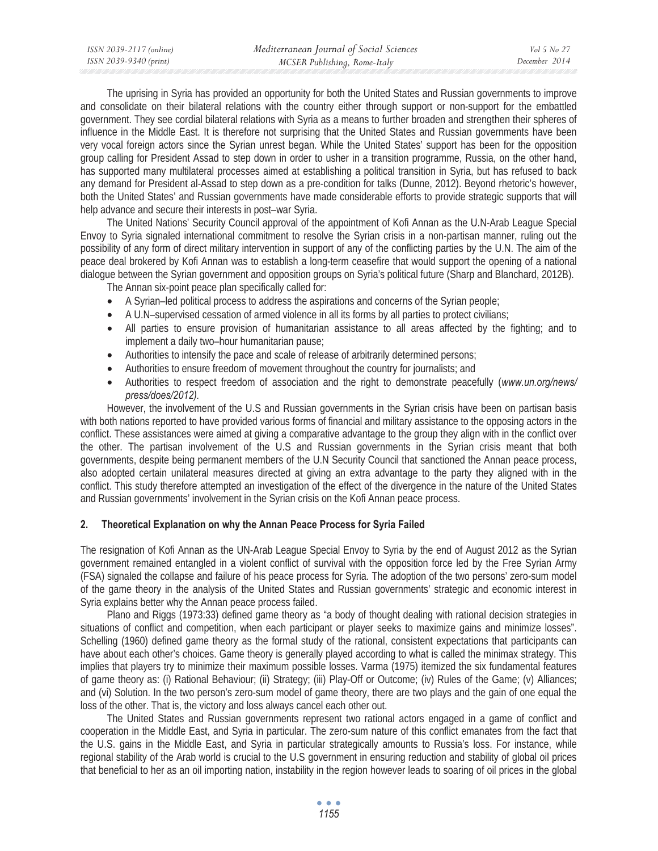| ISSN 2039-2117 (online) | Mediterranean Journal of Social Sciences | Vol 5 No 27   |
|-------------------------|------------------------------------------|---------------|
| ISSN 2039-9340 (print)  | MCSER Publishing, Rome-Italy             | December 2014 |
|                         |                                          |               |

The uprising in Syria has provided an opportunity for both the United States and Russian governments to improve and consolidate on their bilateral relations with the country either through support or non-support for the embattled government. They see cordial bilateral relations with Syria as a means to further broaden and strengthen their spheres of influence in the Middle East. It is therefore not surprising that the United States and Russian governments have been very vocal foreign actors since the Syrian unrest began. While the United States' support has been for the opposition group calling for President Assad to step down in order to usher in a transition programme, Russia, on the other hand, has supported many multilateral processes aimed at establishing a political transition in Syria, but has refused to back any demand for President al-Assad to step down as a pre-condition for talks (Dunne, 2012). Beyond rhetoric's however, both the United States' and Russian governments have made considerable efforts to provide strategic supports that will help advance and secure their interests in post–war Syria.

The United Nations' Security Council approval of the appointment of Kofi Annan as the U.N-Arab League Special Envoy to Syria signaled international commitment to resolve the Syrian crisis in a non-partisan manner, ruling out the possibility of any form of direct military intervention in support of any of the conflicting parties by the U.N. The aim of the peace deal brokered by Kofi Annan was to establish a long-term ceasefire that would support the opening of a national dialogue between the Syrian government and opposition groups on Syria's political future (Sharp and Blanchard, 2012B).

The Annan six-point peace plan specifically called for:

- A Syrian–led political process to address the aspirations and concerns of the Syrian people;
- A U.N–supervised cessation of armed violence in all its forms by all parties to protect civilians;
- All parties to ensure provision of humanitarian assistance to all areas affected by the fighting; and to implement a daily two–hour humanitarian pause;
- Authorities to intensify the pace and scale of release of arbitrarily determined persons;
- Authorities to ensure freedom of movement throughout the country for journalists; and
- Authorities to respect freedom of association and the right to demonstrate peacefully (*www.un.org/news/ press/does/2012).*

However, the involvement of the U.S and Russian governments in the Syrian crisis have been on partisan basis with both nations reported to have provided various forms of financial and military assistance to the opposing actors in the conflict. These assistances were aimed at giving a comparative advantage to the group they align with in the conflict over the other. The partisan involvement of the U.S and Russian governments in the Syrian crisis meant that both governments, despite being permanent members of the U.N Security Council that sanctioned the Annan peace process, also adopted certain unilateral measures directed at giving an extra advantage to the party they aligned with in the conflict. This study therefore attempted an investigation of the effect of the divergence in the nature of the United States and Russian governments' involvement in the Syrian crisis on the Kofi Annan peace process.

## **2. Theoretical Explanation on why the Annan Peace Process for Syria Failed**

The resignation of Kofi Annan as the UN-Arab League Special Envoy to Syria by the end of August 2012 as the Syrian government remained entangled in a violent conflict of survival with the opposition force led by the Free Syrian Army (FSA) signaled the collapse and failure of his peace process for Syria. The adoption of the two persons' zero-sum model of the game theory in the analysis of the United States and Russian governments' strategic and economic interest in Syria explains better why the Annan peace process failed.

Plano and Riggs (1973:33) defined game theory as "a body of thought dealing with rational decision strategies in situations of conflict and competition, when each participant or player seeks to maximize gains and minimize losses". Schelling (1960) defined game theory as the formal study of the rational, consistent expectations that participants can have about each other's choices. Game theory is generally played according to what is called the minimax strategy. This implies that players try to minimize their maximum possible losses. Varma (1975) itemized the six fundamental features of game theory as: (i) Rational Behaviour; (ii) Strategy; (iii) Play-Off or Outcome; (iv) Rules of the Game; (v) Alliances; and (vi) Solution. In the two person's zero-sum model of game theory, there are two plays and the gain of one equal the loss of the other. That is, the victory and loss always cancel each other out.

The United States and Russian governments represent two rational actors engaged in a game of conflict and cooperation in the Middle East, and Syria in particular. The zero-sum nature of this conflict emanates from the fact that the U.S. gains in the Middle East, and Syria in particular strategically amounts to Russia's loss. For instance, while regional stability of the Arab world is crucial to the U.S government in ensuring reduction and stability of global oil prices that beneficial to her as an oil importing nation, instability in the region however leads to soaring of oil prices in the global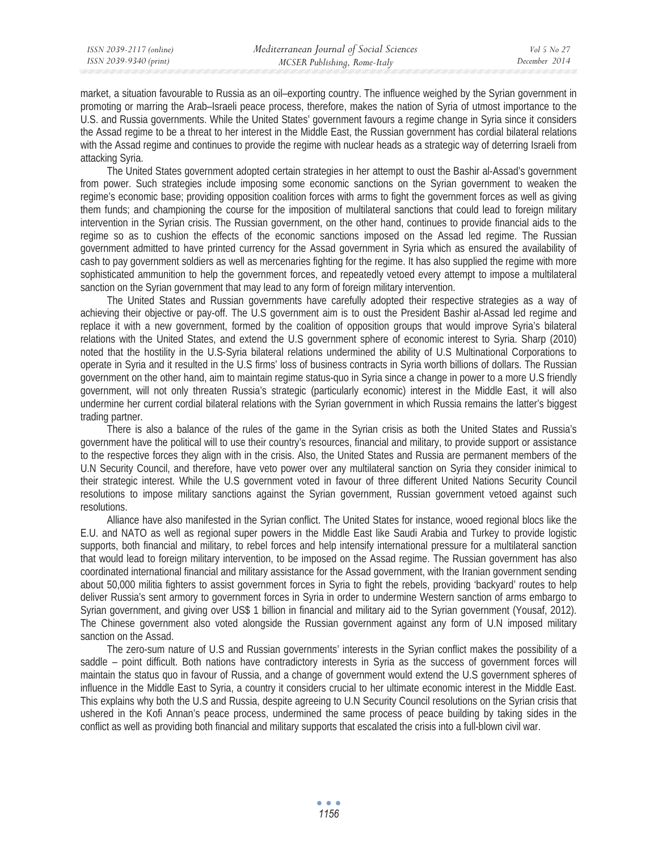market, a situation favourable to Russia as an oil–exporting country. The influence weighed by the Syrian government in promoting or marring the Arab–Israeli peace process, therefore, makes the nation of Syria of utmost importance to the U.S. and Russia governments. While the United States' government favours a regime change in Syria since it considers the Assad regime to be a threat to her interest in the Middle East, the Russian government has cordial bilateral relations with the Assad regime and continues to provide the regime with nuclear heads as a strategic way of deterring Israeli from attacking Syria.

The United States government adopted certain strategies in her attempt to oust the Bashir al-Assad's government from power. Such strategies include imposing some economic sanctions on the Syrian government to weaken the regime's economic base; providing opposition coalition forces with arms to fight the government forces as well as giving them funds; and championing the course for the imposition of multilateral sanctions that could lead to foreign military intervention in the Syrian crisis. The Russian government, on the other hand, continues to provide financial aids to the regime so as to cushion the effects of the economic sanctions imposed on the Assad led regime. The Russian government admitted to have printed currency for the Assad government in Syria which as ensured the availability of cash to pay government soldiers as well as mercenaries fighting for the regime. It has also supplied the regime with more sophisticated ammunition to help the government forces, and repeatedly vetoed every attempt to impose a multilateral sanction on the Syrian government that may lead to any form of foreign military intervention.

The United States and Russian governments have carefully adopted their respective strategies as a way of achieving their objective or pay-off. The U.S government aim is to oust the President Bashir al-Assad led regime and replace it with a new government, formed by the coalition of opposition groups that would improve Syria's bilateral relations with the United States, and extend the U.S government sphere of economic interest to Syria. Sharp (2010) noted that the hostility in the U.S-Syria bilateral relations undermined the ability of U.S Multinational Corporations to operate in Syria and it resulted in the U.S firms' loss of business contracts in Syria worth billions of dollars. The Russian government on the other hand, aim to maintain regime status-quo in Syria since a change in power to a more U.S friendly government, will not only threaten Russia's strategic (particularly economic) interest in the Middle East, it will also undermine her current cordial bilateral relations with the Syrian government in which Russia remains the latter's biggest trading partner.

There is also a balance of the rules of the game in the Syrian crisis as both the United States and Russia's government have the political will to use their country's resources, financial and military, to provide support or assistance to the respective forces they align with in the crisis. Also, the United States and Russia are permanent members of the U.N Security Council, and therefore, have veto power over any multilateral sanction on Syria they consider inimical to their strategic interest. While the U.S government voted in favour of three different United Nations Security Council resolutions to impose military sanctions against the Syrian government, Russian government vetoed against such resolutions.

Alliance have also manifested in the Syrian conflict. The United States for instance, wooed regional blocs like the E.U. and NATO as well as regional super powers in the Middle East like Saudi Arabia and Turkey to provide logistic supports, both financial and military, to rebel forces and help intensify international pressure for a multilateral sanction that would lead to foreign military intervention, to be imposed on the Assad regime. The Russian government has also coordinated international financial and military assistance for the Assad government, with the Iranian government sending about 50,000 militia fighters to assist government forces in Syria to fight the rebels, providing 'backyard' routes to help deliver Russia's sent armory to government forces in Syria in order to undermine Western sanction of arms embargo to Syrian government, and giving over US\$ 1 billion in financial and military aid to the Syrian government (Yousaf, 2012). The Chinese government also voted alongside the Russian government against any form of U.N imposed military sanction on the Assad.

The zero-sum nature of U.S and Russian governments' interests in the Syrian conflict makes the possibility of a saddle – point difficult. Both nations have contradictory interests in Syria as the success of government forces will maintain the status quo in favour of Russia, and a change of government would extend the U.S government spheres of influence in the Middle East to Syria, a country it considers crucial to her ultimate economic interest in the Middle East. This explains why both the U.S and Russia, despite agreeing to U.N Security Council resolutions on the Syrian crisis that ushered in the Kofi Annan's peace process, undermined the same process of peace building by taking sides in the conflict as well as providing both financial and military supports that escalated the crisis into a full-blown civil war.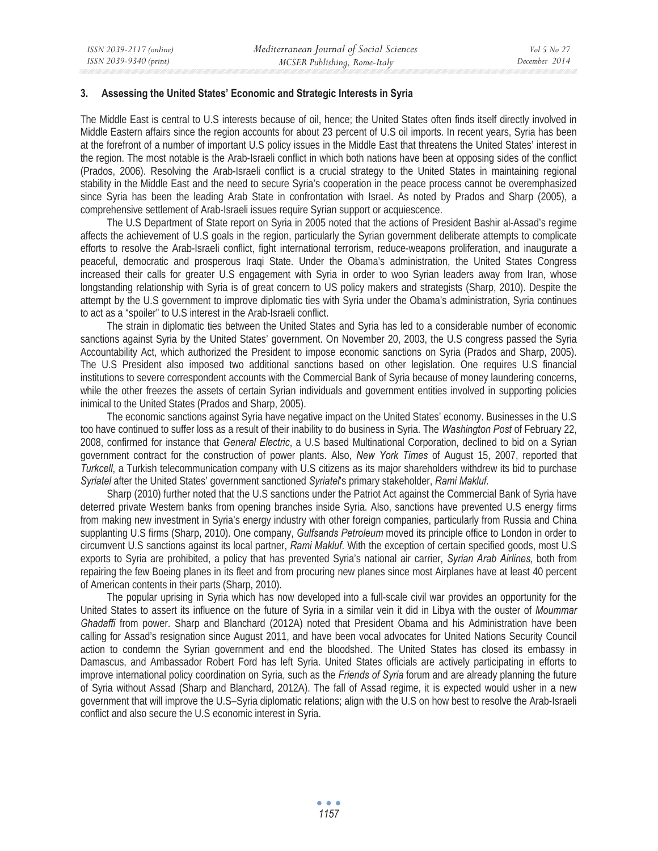#### **3. Assessing the United States' Economic and Strategic Interests in Syria**

The Middle East is central to U.S interests because of oil, hence; the United States often finds itself directly involved in Middle Eastern affairs since the region accounts for about 23 percent of U.S oil imports. In recent years, Syria has been at the forefront of a number of important U.S policy issues in the Middle East that threatens the United States' interest in the region. The most notable is the Arab-Israeli conflict in which both nations have been at opposing sides of the conflict (Prados, 2006). Resolving the Arab-Israeli conflict is a crucial strategy to the United States in maintaining regional stability in the Middle East and the need to secure Syria's cooperation in the peace process cannot be overemphasized since Syria has been the leading Arab State in confrontation with Israel. As noted by Prados and Sharp (2005), a comprehensive settlement of Arab-Israeli issues require Syrian support or acquiescence.

The U.S Department of State report on Syria in 2005 noted that the actions of President Bashir al-Assad's regime affects the achievement of U.S goals in the region, particularly the Syrian government deliberate attempts to complicate efforts to resolve the Arab-Israeli conflict, fight international terrorism, reduce-weapons proliferation, and inaugurate a peaceful, democratic and prosperous Iraqi State. Under the Obama's administration, the United States Congress increased their calls for greater U.S engagement with Syria in order to woo Syrian leaders away from Iran, whose longstanding relationship with Syria is of great concern to US policy makers and strategists (Sharp, 2010). Despite the attempt by the U.S government to improve diplomatic ties with Syria under the Obama's administration, Syria continues to act as a "spoiler" to U.S interest in the Arab-Israeli conflict.

The strain in diplomatic ties between the United States and Syria has led to a considerable number of economic sanctions against Syria by the United States' government. On November 20, 2003, the U.S congress passed the Syria Accountability Act, which authorized the President to impose economic sanctions on Syria (Prados and Sharp, 2005). The U.S President also imposed two additional sanctions based on other legislation. One requires U.S financial institutions to severe correspondent accounts with the Commercial Bank of Syria because of money laundering concerns, while the other freezes the assets of certain Syrian individuals and government entities involved in supporting policies inimical to the United States (Prados and Sharp, 2005).

The economic sanctions against Syria have negative impact on the United States' economy. Businesses in the U.S too have continued to suffer loss as a result of their inability to do business in Syria. The *Washington Post* of February 22, 2008, confirmed for instance that *General Electric*, a U.S based Multinational Corporation, declined to bid on a Syrian government contract for the construction of power plants. Also, *New York Times* of August 15, 2007, reported that *Turkcell*, a Turkish telecommunication company with U.S citizens as its major shareholders withdrew its bid to purchase *Syriatel* after the United States' government sanctioned *Syriatel*'s primary stakeholder, *Rami Makluf.*

Sharp (2010) further noted that the U.S sanctions under the Patriot Act against the Commercial Bank of Syria have deterred private Western banks from opening branches inside Syria. Also, sanctions have prevented U.S energy firms from making new investment in Syria's energy industry with other foreign companies, particularly from Russia and China supplanting U.S firms (Sharp, 2010). One company, *Gulfsands Petroleum* moved its principle office to London in order to circumvent U.S sanctions against its local partner, *Rami Makluf*. With the exception of certain specified goods, most U.S exports to Syria are prohibited, a policy that has prevented Syria's national air carrier, *Syrian Arab Airlines*, both from repairing the few Boeing planes in its fleet and from procuring new planes since most Airplanes have at least 40 percent of American contents in their parts (Sharp, 2010).

The popular uprising in Syria which has now developed into a full-scale civil war provides an opportunity for the United States to assert its influence on the future of Syria in a similar vein it did in Libya with the ouster of *Moummar Ghadaffi* from power. Sharp and Blanchard (2012A) noted that President Obama and his Administration have been calling for Assad's resignation since August 2011, and have been vocal advocates for United Nations Security Council action to condemn the Syrian government and end the bloodshed. The United States has closed its embassy in Damascus, and Ambassador Robert Ford has left Syria. United States officials are actively participating in efforts to improve international policy coordination on Syria, such as the *Friends of Syria* forum and are already planning the future of Syria without Assad (Sharp and Blanchard, 2012A). The fall of Assad regime, it is expected would usher in a new government that will improve the U.S–Syria diplomatic relations; align with the U.S on how best to resolve the Arab-Israeli conflict and also secure the U.S economic interest in Syria.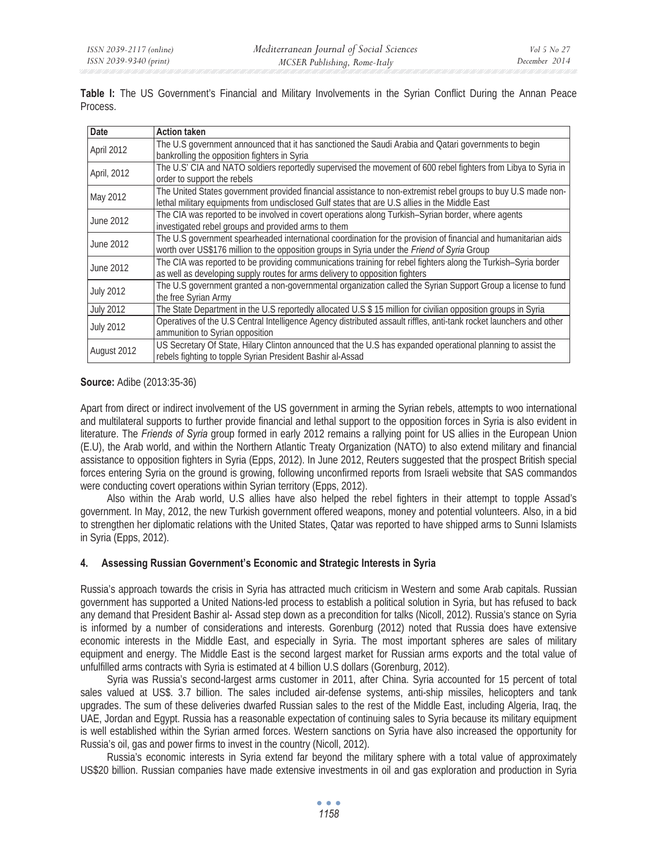**Table I:** The US Government's Financial and Military Involvements in the Syrian Conflict During the Annan Peace Process.

| <b>Date</b>      | <b>Action taken</b>                                                                                                                                                                                             |
|------------------|-----------------------------------------------------------------------------------------------------------------------------------------------------------------------------------------------------------------|
| April 2012       | The U.S government announced that it has sanctioned the Saudi Arabia and Qatari governments to begin<br>bankrolling the opposition fighters in Syria                                                            |
| April, 2012      | The U.S' CIA and NATO soldiers reportedly supervised the movement of 600 rebel fighters from Libya to Syria in<br>order to support the rebels                                                                   |
| May 2012         | The United States government provided financial assistance to non-extremist rebel groups to buy U.S made non-<br>lethal military equipments from undisclosed Gulf states that are U.S allies in the Middle East |
| June 2012        | The CIA was reported to be involved in covert operations along Turkish-Syrian border, where agents<br>investigated rebel groups and provided arms to them                                                       |
| June 2012        | The U.S government spearheaded international coordination for the provision of financial and humanitarian aids<br>worth over US\$176 million to the opposition groups in Syria under the Friend of Syria Group  |
| June 2012        | The CIA was reported to be providing communications training for rebel fighters along the Turkish–Syria border<br>as well as developing supply routes for arms delivery to opposition fighters                  |
| <b>July 2012</b> | The U.S government granted a non-governmental organization called the Syrian Support Group a license to fund<br>the free Syrian Army                                                                            |
| <b>July 2012</b> | The State Department in the U.S reportedly allocated U.S \$ 15 million for civilian opposition groups in Syria                                                                                                  |
| <b>July 2012</b> | Operatives of the U.S Central Intelligence Agency distributed assault riffles, anti-tank rocket launchers and other<br>ammunition to Syrian opposition                                                          |
| August 2012      | US Secretary Of State, Hilary Clinton announced that the U.S has expanded operational planning to assist the<br>rebels fighting to topple Syrian President Bashir al-Assad                                      |

## **Source:** Adibe (2013:35-36)

Apart from direct or indirect involvement of the US government in arming the Syrian rebels, attempts to woo international and multilateral supports to further provide financial and lethal support to the opposition forces in Syria is also evident in literature. The *Friends of Syria* group formed in early 2012 remains a rallying point for US allies in the European Union (E.U), the Arab world, and within the Northern Atlantic Treaty Organization (NATO) to also extend military and financial assistance to opposition fighters in Syria (Epps, 2012). In June 2012, Reuters suggested that the prospect British special forces entering Syria on the ground is growing, following unconfirmed reports from Israeli website that SAS commandos were conducting covert operations within Syrian territory (Epps, 2012).

Also within the Arab world, U.S allies have also helped the rebel fighters in their attempt to topple Assad's government. In May, 2012, the new Turkish government offered weapons, money and potential volunteers. Also, in a bid to strengthen her diplomatic relations with the United States, Qatar was reported to have shipped arms to Sunni Islamists in Syria (Epps, 2012).

## **4. Assessing Russian Government's Economic and Strategic Interests in Syria**

Russia's approach towards the crisis in Syria has attracted much criticism in Western and some Arab capitals. Russian government has supported a United Nations-led process to establish a political solution in Syria, but has refused to back any demand that President Bashir al- Assad step down as a precondition for talks (Nicoll, 2012). Russia's stance on Syria is informed by a number of considerations and interests. Gorenburg (2012) noted that Russia does have extensive economic interests in the Middle East, and especially in Syria. The most important spheres are sales of military equipment and energy. The Middle East is the second largest market for Russian arms exports and the total value of unfulfilled arms contracts with Syria is estimated at 4 billion U.S dollars (Gorenburg, 2012).

Syria was Russia's second-largest arms customer in 2011, after China. Syria accounted for 15 percent of total sales valued at US\$. 3.7 billion. The sales included air-defense systems, anti-ship missiles, helicopters and tank upgrades. The sum of these deliveries dwarfed Russian sales to the rest of the Middle East, including Algeria, Iraq, the UAE, Jordan and Egypt. Russia has a reasonable expectation of continuing sales to Syria because its military equipment is well established within the Syrian armed forces. Western sanctions on Syria have also increased the opportunity for Russia's oil, gas and power firms to invest in the country (Nicoll, 2012).

Russia's economic interests in Syria extend far beyond the military sphere with a total value of approximately US\$20 billion. Russian companies have made extensive investments in oil and gas exploration and production in Syria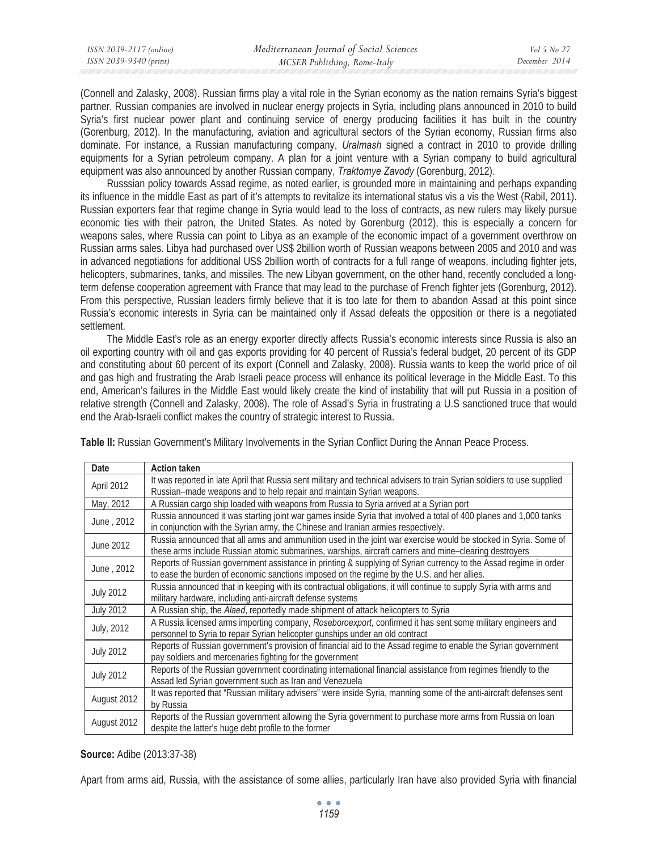| ISSN 2039-2117 (online) | Mediterranean Journal of Social Sciences | Vol 5 No 27   |
|-------------------------|------------------------------------------|---------------|
| ISSN 2039-9340 (print)  | MCSER Publishing, Rome-Italy             | December 2014 |

(Connell and Zalasky, 2008). Russian firms play a vital role in the Syrian economy as the nation remains Syria's biggest partner. Russian companies are involved in nuclear energy projects in Syria, including plans announced in 2010 to build Syria's first nuclear power plant and continuing service of energy producing facilities it has built in the country (Gorenburg, 2012). In the manufacturing, aviation and agricultural sectors of the Syrian economy, Russian firms also dominate. For instance, a Russian manufacturing company, *Uralmash* signed a contract in 2010 to provide drilling equipments for a Syrian petroleum company. A plan for a joint venture with a Syrian company to build agricultural equipment was also announced by another Russian company, *Traktomye Zavody* (Gorenburg, 2012).

Russsian policy towards Assad regime, as noted earlier, is grounded more in maintaining and perhaps expanding its influence in the middle East as part of it's attempts to revitalize its international status vis a vis the West (Rabil, 2011). Russian exporters fear that regime change in Syria would lead to the loss of contracts, as new rulers may likely pursue economic ties with their patron, the United States. As noted by Gorenburg (2012), this is especially a concern for weapons sales, where Russia can point to Libya as an example of the economic impact of a government overthrow on Russian arms sales. Libya had purchased over US\$ 2billion worth of Russian weapons between 2005 and 2010 and was in advanced negotiations for additional US\$ 2billion worth of contracts for a full range of weapons, including fighter jets, helicopters, submarines, tanks, and missiles. The new Libyan government, on the other hand, recently concluded a longterm defense cooperation agreement with France that may lead to the purchase of French fighter jets (Gorenburg, 2012). From this perspective, Russian leaders firmly believe that it is too late for them to abandon Assad at this point since Russia's economic interests in Syria can be maintained only if Assad defeats the opposition or there is a negotiated settlement.

The Middle East's role as an energy exporter directly affects Russia's economic interests since Russia is also an oil exporting country with oil and gas exports providing for 40 percent of Russia's federal budget, 20 percent of its GDP and constituting about 60 percent of its export (Connell and Zalasky, 2008). Russia wants to keep the world price of oil and gas high and frustrating the Arab Israeli peace process will enhance its political leverage in the Middle East. To this end, American's failures in the Middle East would likely create the kind of instability that will put Russia in a position of relative strength (Connell and Zalasky, 2008). The role of Assad's Syria in frustrating a U.S sanctioned truce that would end the Arab-Israeli conflict makes the country of strategic interest to Russia.

| <b>Date</b>      | <b>Action taken</b>                                                                                                     |
|------------------|-------------------------------------------------------------------------------------------------------------------------|
| April 2012       | It was reported in late April that Russia sent military and technical advisers to train Syrian soldiers to use supplied |
|                  | Russian-made weapons and to help repair and maintain Syrian weapons.                                                    |
| May, 2012        | A Russian cargo ship loaded with weapons from Russia to Syria arrived at a Syrian port                                  |
| June, 2012       | Russia announced it was starting joint war games inside Syria that involved a total of 400 planes and 1,000 tanks       |
|                  | in conjunction with the Syrian army, the Chinese and Iranian armies respectively.                                       |
| June 2012        | Russia announced that all arms and ammunition used in the joint war exercise would be stocked in Syria. Some of         |
|                  | these arms include Russian atomic submarines, warships, aircraft carriers and mine-clearing destroyers                  |
| June, 2012       | Reports of Russian government assistance in printing & supplying of Syrian currency to the Assad regime in order        |
|                  | to ease the burden of economic sanctions imposed on the regime by the U.S. and her allies.                              |
| <b>July 2012</b> | Russia announced that in keeping with its contractual obligations, it will continue to supply Syria with arms and       |
|                  | military hardware, including anti-aircraft defense systems                                                              |
| <b>July 2012</b> | A Russian ship, the Alaed, reportedly made shipment of attack helicopters to Syria                                      |
| July, 2012       | A Russia licensed arms importing company, Roseboroexport, confirmed it has sent some military engineers and             |
|                  | personnel to Syria to repair Syrian helicopter gunships under an old contract                                           |
| <b>July 2012</b> | Reports of Russian government's provision of financial aid to the Assad regime to enable the Syrian government          |
|                  | pay soldiers and mercenaries fighting for the government                                                                |
| <b>July 2012</b> | Reports of the Russian government coordinating international financial assistance from regimes friendly to the          |
|                  | Assad led Syrian government such as Iran and Venezuela                                                                  |
|                  | It was reported that "Russian military advisers" were inside Syria, manning some of the anti-aircraft defenses sent     |
| August 2012      | by Russia                                                                                                               |
| August 2012      | Reports of the Russian government allowing the Syria government to purchase more arms from Russia on loan               |
|                  | despite the latter's huge debt profile to the former                                                                    |

**Table II:** Russian Government's Military Involvements in the Syrian Conflict During the Annan Peace Process.

## **Source:** Adibe (2013:37-38)

Apart from arms aid, Russia, with the assistance of some allies, particularly Iran have also provided Syria with financial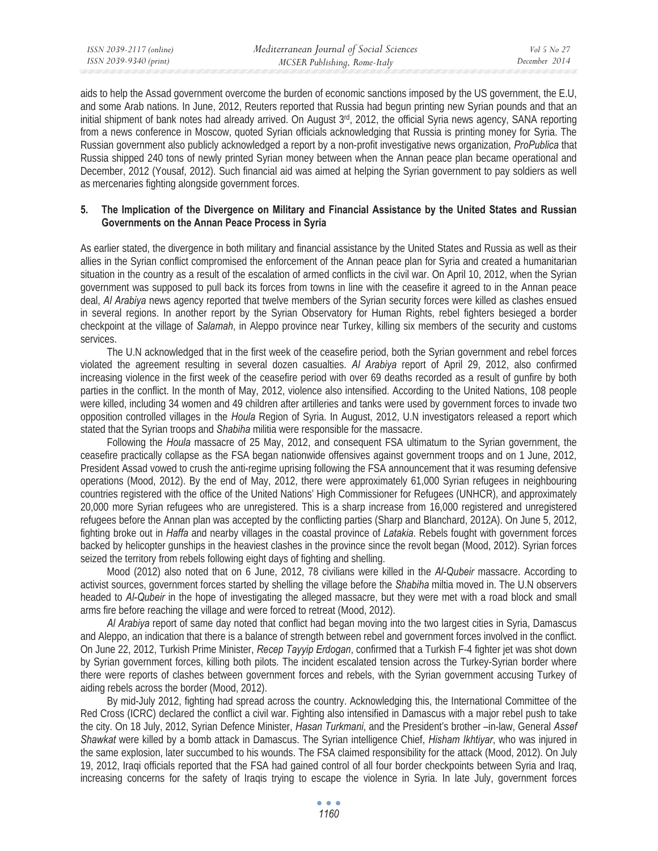aids to help the Assad government overcome the burden of economic sanctions imposed by the US government, the E.U, and some Arab nations. In June, 2012, Reuters reported that Russia had begun printing new Syrian pounds and that an initial shipment of bank notes had already arrived. On August  $3<sup>rd</sup>$ , 2012, the official Syria news agency, SANA reporting from a news conference in Moscow, quoted Syrian officials acknowledging that Russia is printing money for Syria. The Russian government also publicly acknowledged a report by a non-profit investigative news organization, *ProPublica* that Russia shipped 240 tons of newly printed Syrian money between when the Annan peace plan became operational and December, 2012 (Yousaf, 2012). Such financial aid was aimed at helping the Syrian government to pay soldiers as well as mercenaries fighting alongside government forces.

## **5. The Implication of the Divergence on Military and Financial Assistance by the United States and Russian Governments on the Annan Peace Process in Syria**

As earlier stated, the divergence in both military and financial assistance by the United States and Russia as well as their allies in the Syrian conflict compromised the enforcement of the Annan peace plan for Syria and created a humanitarian situation in the country as a result of the escalation of armed conflicts in the civil war. On April 10, 2012, when the Syrian government was supposed to pull back its forces from towns in line with the ceasefire it agreed to in the Annan peace deal, *Al Arabiya* news agency reported that twelve members of the Syrian security forces were killed as clashes ensued in several regions. In another report by the Syrian Observatory for Human Rights, rebel fighters besieged a border checkpoint at the village of *Salamah*, in Aleppo province near Turkey, killing six members of the security and customs services.

The U.N acknowledged that in the first week of the ceasefire period, both the Syrian government and rebel forces violated the agreement resulting in several dozen casualties. *Al Arabiya* report of April 29, 2012, also confirmed increasing violence in the first week of the ceasefire period with over 69 deaths recorded as a result of gunfire by both parties in the conflict. In the month of May, 2012, violence also intensified. According to the United Nations, 108 people were killed, including 34 women and 49 children after artilleries and tanks were used by government forces to invade two opposition controlled villages in the *Houla* Region of Syria. In August, 2012, U.N investigators released a report which stated that the Syrian troops and *Shabiha* militia were responsible for the massacre.

Following the *Houla* massacre of 25 May, 2012, and consequent FSA ultimatum to the Syrian government, the ceasefire practically collapse as the FSA began nationwide offensives against government troops and on 1 June, 2012, President Assad vowed to crush the anti-regime uprising following the FSA announcement that it was resuming defensive operations (Mood, 2012). By the end of May, 2012, there were approximately 61,000 Syrian refugees in neighbouring countries registered with the office of the United Nations' High Commissioner for Refugees (UNHCR), and approximately 20,000 more Syrian refugees who are unregistered. This is a sharp increase from 16,000 registered and unregistered refugees before the Annan plan was accepted by the conflicting parties (Sharp and Blanchard, 2012A). On June 5, 2012, fighting broke out in *Haffa* and nearby villages in the coastal province of *Latakia*. Rebels fought with government forces backed by helicopter gunships in the heaviest clashes in the province since the revolt began (Mood, 2012). Syrian forces seized the territory from rebels following eight days of fighting and shelling.

Mood (2012) also noted that on 6 June, 2012, 78 civilians were killed in the *Al-Qubeir* massacre. According to activist sources, government forces started by shelling the village before the *Shabiha* miltia moved in. The U.N observers headed to *Al-Qubeir* in the hope of investigating the alleged massacre, but they were met with a road block and small arms fire before reaching the village and were forced to retreat (Mood, 2012).

*Al Arabiya* report of same day noted that conflict had began moving into the two largest cities in Syria, Damascus and Aleppo, an indication that there is a balance of strength between rebel and government forces involved in the conflict. On June 22, 2012, Turkish Prime Minister, *Recep Tayyip Erdogan*, confirmed that a Turkish F-4 fighter jet was shot down by Syrian government forces, killing both pilots. The incident escalated tension across the Turkey-Syrian border where there were reports of clashes between government forces and rebels, with the Syrian government accusing Turkey of aiding rebels across the border (Mood, 2012).

By mid-July 2012, fighting had spread across the country. Acknowledging this, the International Committee of the Red Cross (ICRC) declared the conflict a civil war. Fighting also intensified in Damascus with a major rebel push to take the city. On 18 July, 2012, Syrian Defence Minister, *Hasan Turkmani*, and the President's brother –in-law, General *Assef Shawkat* were killed by a bomb attack in Damascus. The Syrian intelligence Chief, *Hisham Ikhtiyar*, who was injured in the same explosion, later succumbed to his wounds. The FSA claimed responsibility for the attack (Mood, 2012). On July 19, 2012, Iraqi officials reported that the FSA had gained control of all four border checkpoints between Syria and Iraq, increasing concerns for the safety of Iraqis trying to escape the violence in Syria. In late July, government forces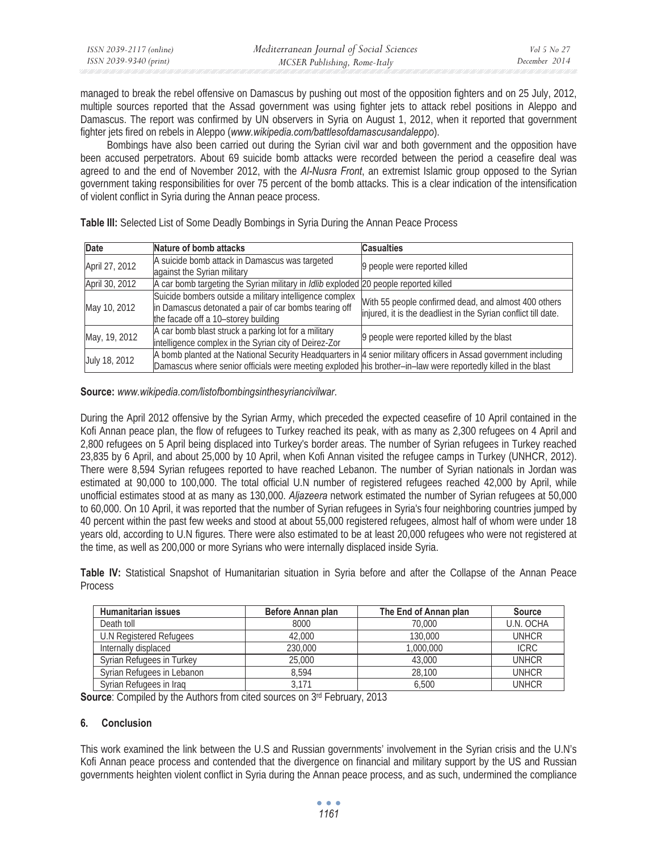| ISSN 2039-2117 (online) | Mediterranean Journal of Social Sciences | Vol 5 No 27   |
|-------------------------|------------------------------------------|---------------|
| ISSN 2039-9340 (print)  | MCSER Publishing, Rome-Italy             | December 2014 |

managed to break the rebel offensive on Damascus by pushing out most of the opposition fighters and on 25 July, 2012, multiple sources reported that the Assad government was using fighter jets to attack rebel positions in Aleppo and Damascus. The report was confirmed by UN observers in Syria on August 1, 2012, when it reported that government fighter jets fired on rebels in Aleppo (*www.wikipedia.com/battlesofdamascusandaleppo*).

Bombings have also been carried out during the Syrian civil war and both government and the opposition have been accused perpetrators. About 69 suicide bomb attacks were recorded between the period a ceasefire deal was agreed to and the end of November 2012, with the *Al-Nusra Front*, an extremist Islamic group opposed to the Syrian government taking responsibilities for over 75 percent of the bomb attacks. This is a clear indication of the intensification of violent conflict in Syria during the Annan peace process.

| <b>Date</b>    | Nature of bomb attacks                                                                                                                                                                                                           | <b>Casualties</b>                                                                                                      |
|----------------|----------------------------------------------------------------------------------------------------------------------------------------------------------------------------------------------------------------------------------|------------------------------------------------------------------------------------------------------------------------|
| April 27, 2012 | A suicide bomb attack in Damascus was targeted<br>against the Syrian military                                                                                                                                                    | 9 people were reported killed                                                                                          |
| April 30, 2012 | A car bomb targeting the Syrian military in Idlib exploded 20 people reported killed                                                                                                                                             |                                                                                                                        |
| May 10, 2012   | Suicide bombers outside a military intelligence complex<br>in Damascus detonated a pair of car bombs tearing off<br>the facade off a 10-storey building                                                                          | With 55 people confirmed dead, and almost 400 others<br>injured, it is the deadliest in the Syrian conflict till date. |
| May, 19, 2012  | A car bomb blast struck a parking lot for a military<br>intelligence complex in the Syrian city of Deirez-Zor                                                                                                                    | 9 people were reported killed by the blast                                                                             |
| July 18, 2012  | A bomb planted at the National Security Headquarters in 4 senior military officers in Assad government including<br>Damascus where senior officials were meeting exploded his brother-in-law were reportedly killed in the blast |                                                                                                                        |

**Table III:** Selected List of Some Deadly Bombings in Syria During the Annan Peace Process

**Source:** *www.wikipedia.com/listofbombingsinthesyriancivilwar*.

During the April 2012 offensive by the Syrian Army, which preceded the expected ceasefire of 10 April contained in the Kofi Annan peace plan, the flow of refugees to Turkey reached its peak, with as many as 2,300 refugees on 4 April and 2,800 refugees on 5 April being displaced into Turkey's border areas. The number of Syrian refugees in Turkey reached 23,835 by 6 April, and about 25,000 by 10 April, when Kofi Annan visited the refugee camps in Turkey (UNHCR, 2012). There were 8,594 Syrian refugees reported to have reached Lebanon. The number of Syrian nationals in Jordan was estimated at 90,000 to 100,000. The total official U.N number of registered refugees reached 42,000 by April, while unofficial estimates stood at as many as 130,000. *Aljazeera* network estimated the number of Syrian refugees at 50,000 to 60,000. On 10 April, it was reported that the number of Syrian refugees in Syria's four neighboring countries jumped by 40 percent within the past few weeks and stood at about 55,000 registered refugees, almost half of whom were under 18 years old, according to U.N figures. There were also estimated to be at least 20,000 refugees who were not registered at the time, as well as 200,000 or more Syrians who were internally displaced inside Syria.

**Table IV:** Statistical Snapshot of Humanitarian situation in Syria before and after the Collapse of the Annan Peace **Process** 

| <b>Humanitarian issues</b> | Before Annan plan | The End of Annan plan | <b>Source</b> |
|----------------------------|-------------------|-----------------------|---------------|
| Death toll                 | 8000              | 70,000                | U.N. OCHA     |
| U.N Registered Refugees    | 42,000            | 130,000               | <b>UNHCR</b>  |
| Internally displaced       | 230,000           | 1,000,000             | <b>ICRC</b>   |
| Syrian Refugees in Turkey  | 25,000            | 43,000                | <b>UNHCR</b>  |
| Syrian Refugees in Lebanon | 8.594             | 28,100                | <b>UNHCR</b>  |
| Syrian Refugees in Irag    | 3.171             | 6,500                 | UNHCR         |

**Source:** Compiled by the Authors from cited sources on 3rd February, 2013

## **6. Conclusion**

This work examined the link between the U.S and Russian governments' involvement in the Syrian crisis and the U.N's Kofi Annan peace process and contended that the divergence on financial and military support by the US and Russian governments heighten violent conflict in Syria during the Annan peace process, and as such, undermined the compliance